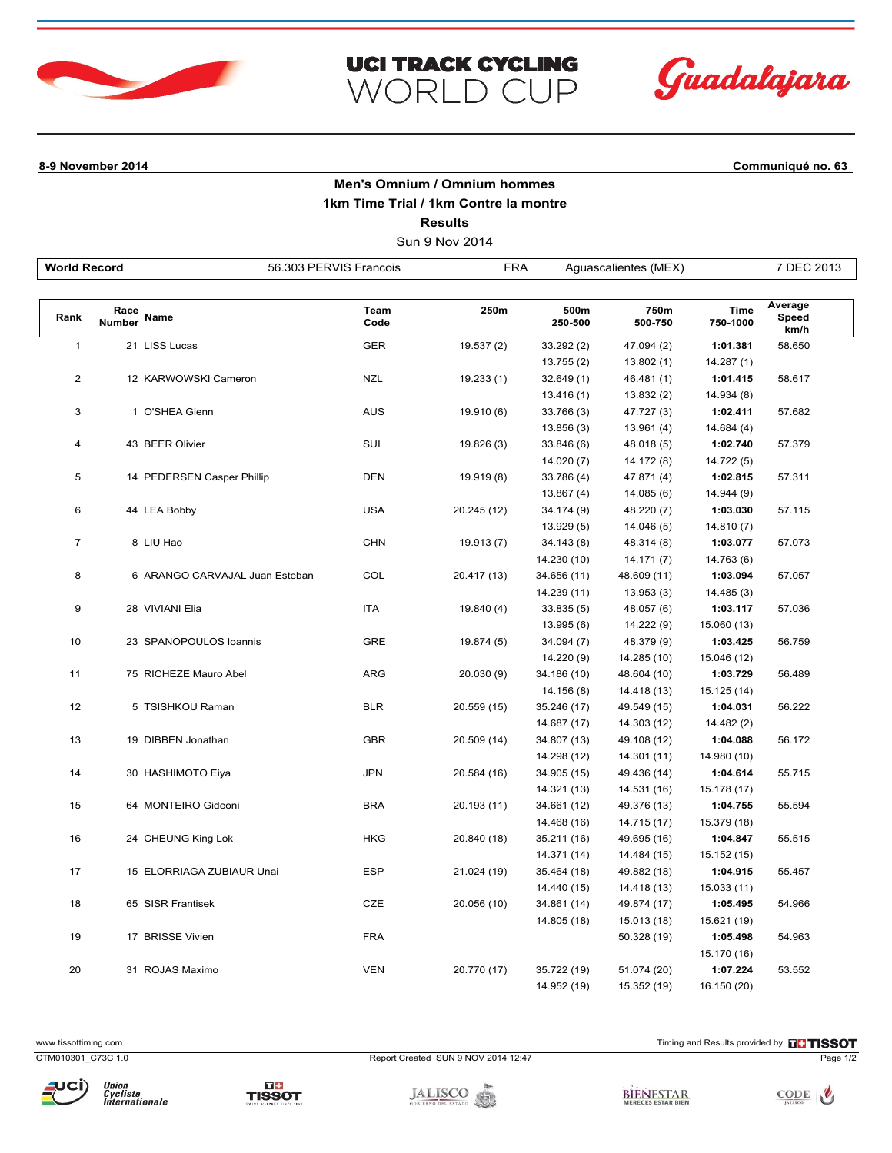



## **8-9 November 2014 Communiqué no. 63**

## **Men's Omnium / Omnium hommes 1km Time Trial / 1km Contre la montre Results**

**UCI TRACK CYCLING** 

WORLD CUP

Sun 9 Nov 2014

| <b>World Record</b> |                       |                                | 56.303 PERVIS Francois | <b>FRA</b>  |                 | Aguascalientes (MEX) |                         | 7 DEC 2013               |
|---------------------|-----------------------|--------------------------------|------------------------|-------------|-----------------|----------------------|-------------------------|--------------------------|
|                     |                       |                                |                        |             |                 |                      |                         |                          |
| Rank                | Race<br><b>Number</b> | Name                           | Team<br>Code           | 250m        | 500m<br>250-500 | 750m<br>500-750      | <b>Time</b><br>750-1000 | Average<br>Speed<br>km/h |
| $\mathbf{1}$        |                       | 21 LISS Lucas                  | <b>GER</b>             | 19.537 (2)  | 33.292 (2)      | 47.094 (2)           | 1:01.381                | 58.650                   |
|                     |                       |                                |                        |             | 13.755(2)       | 13.802(1)            | 14.287(1)               |                          |
| 2                   |                       | 12 KARWOWSKI Cameron           | <b>NZL</b>             | 19.233(1)   | 32.649 (1)      | 46.481 (1)           | 1:01.415                | 58.617                   |
|                     |                       |                                |                        |             | 13.416(1)       | 13.832 (2)           | 14.934 (8)              |                          |
| 3                   |                       | 1 O'SHEA Glenn                 | <b>AUS</b>             | 19.910 (6)  | 33.766 (3)      | 47.727 (3)           | 1:02.411                | 57.682                   |
|                     |                       |                                |                        |             | 13.856(3)       | 13.961(4)            | 14.684(4)               |                          |
| 4                   |                       | 43 BEER Olivier                | SUI                    | 19.826 (3)  | 33.846 (6)      | 48.018 (5)           | 1:02.740                | 57.379                   |
|                     |                       |                                |                        |             | 14.020(7)       | 14.172 (8)           | 14.722 (5)              |                          |
| 5                   |                       | 14 PEDERSEN Casper Phillip     | <b>DEN</b>             | 19.919 (8)  | 33.786 (4)      | 47.871 (4)           | 1:02.815                | 57.311                   |
|                     |                       |                                |                        |             | 13.867(4)       | 14.085(6)            | 14.944 (9)              |                          |
| 6                   |                       | 44 LEA Bobby                   | <b>USA</b>             | 20.245 (12) | 34.174 (9)      | 48.220 (7)           | 1:03.030                | 57.115                   |
|                     |                       |                                |                        |             | 13.929 (5)      | 14.046 (5)           | 14.810(7)               |                          |
| $\overline{7}$      |                       | 8 LIU Hao                      | <b>CHN</b>             | 19.913 (7)  | 34.143 (8)      | 48.314 (8)           | 1:03.077                | 57.073                   |
|                     |                       |                                |                        |             | 14.230 (10)     | 14.171(7)            | 14.763 (6)              |                          |
| 8                   |                       | 6 ARANGO CARVAJAL Juan Esteban | COL                    | 20.417 (13) | 34.656 (11)     | 48.609 (11)          | 1:03.094                | 57.057                   |
|                     |                       |                                |                        |             | 14.239 (11)     | 13.953 (3)           | 14.485 (3)              |                          |
| 9                   |                       | 28 VIVIANI Elia                | <b>ITA</b>             | 19.840 (4)  | 33.835 (5)      | 48.057 (6)           | 1:03.117                | 57.036                   |
|                     |                       |                                |                        |             | 13.995 (6)      | 14.222 (9)           | 15.060 (13)             |                          |
| 10                  |                       | 23 SPANOPOULOS loannis         | GRE                    | 19.874 (5)  | 34.094 (7)      | 48.379 (9)           | 1:03.425                | 56.759                   |
|                     |                       |                                |                        |             | 14.220 (9)      | 14.285 (10)          | 15.046 (12)             |                          |
| 11                  |                       | 75 RICHEZE Mauro Abel          | <b>ARG</b>             | 20.030(9)   | 34.186 (10)     | 48.604 (10)          | 1:03.729                | 56.489                   |
|                     |                       |                                |                        |             | 14.156 (8)      | 14.418 (13)          | 15.125 (14)             |                          |
| 12                  |                       | 5 TSISHKOU Raman               | <b>BLR</b>             | 20.559 (15) | 35.246 (17)     | 49.549 (15)          | 1:04.031                | 56.222                   |
|                     |                       |                                |                        |             | 14.687 (17)     | 14.303 (12)          | 14.482 (2)              |                          |
| 13                  |                       | 19 DIBBEN Jonathan             | <b>GBR</b>             | 20.509 (14) | 34.807 (13)     | 49.108 (12)          | 1:04.088                | 56.172                   |
|                     |                       |                                |                        |             | 14.298 (12)     | 14.301 (11)          | 14.980 (10)             |                          |
| 14                  |                       | 30 HASHIMOTO Eiya              | <b>JPN</b>             | 20.584 (16) | 34.905 (15)     | 49.436 (14)          | 1:04.614                | 55.715                   |
|                     |                       |                                |                        |             | 14.321 (13)     | 14.531 (16)          | 15.178 (17)             |                          |
| 15                  |                       | 64 MONTEIRO Gideoni            | <b>BRA</b>             | 20.193 (11) | 34.661 (12)     | 49.376 (13)          | 1:04.755                | 55.594                   |
|                     |                       |                                |                        |             | 14.468 (16)     | 14.715 (17)          | 15.379 (18)             |                          |
| 16                  |                       | 24 CHEUNG King Lok             | <b>HKG</b>             | 20.840 (18) | 35.211 (16)     | 49.695 (16)          | 1:04.847                | 55.515                   |
|                     |                       |                                |                        |             | 14.371 (14)     | 14.484 (15)          | 15.152 (15)             |                          |
| 17                  |                       | 15 ELORRIAGA ZUBIAUR Unai      | <b>ESP</b>             | 21.024 (19) | 35.464 (18)     | 49.882 (18)          | 1:04.915                | 55.457                   |
|                     |                       |                                |                        |             | 14.440 (15)     | 14.418 (13)          | 15.033 (11)             |                          |
| 18                  |                       | 65 SISR Frantisek              | <b>CZE</b>             | 20.056 (10) | 34.861 (14)     | 49.874 (17)          | 1:05.495                | 54.966                   |
|                     |                       |                                |                        |             | 14.805 (18)     | 15.013 (18)          | 15.621 (19)             |                          |
| 19                  |                       | 17 BRISSE Vivien               | <b>FRA</b>             |             |                 | 50.328 (19)          | 1:05.498                | 54.963                   |
|                     |                       |                                |                        |             |                 |                      | 15.170 (16)             |                          |
| 20                  |                       | 31 ROJAS Maximo                | <b>VEN</b>             | 20.770 (17) | 35.722 (19)     | 51.074 (20)          | 1:07.224                | 53.552                   |
|                     |                       |                                |                        |             | 14.952 (19)     | 15.352 (19)          | 16.150 (20)             |                          |

www.tissottiming.com **EXECUTES CONTEXT CONTEXT** Timing and Results provided by **EXECUTES CONTEXT AND RESULTS SO TIMING** 

CTM010301\_C73C 1.0 Report Created SUN 9 NOV 2014 12:47 Page 1/2



BIENESTAR





TISSOT